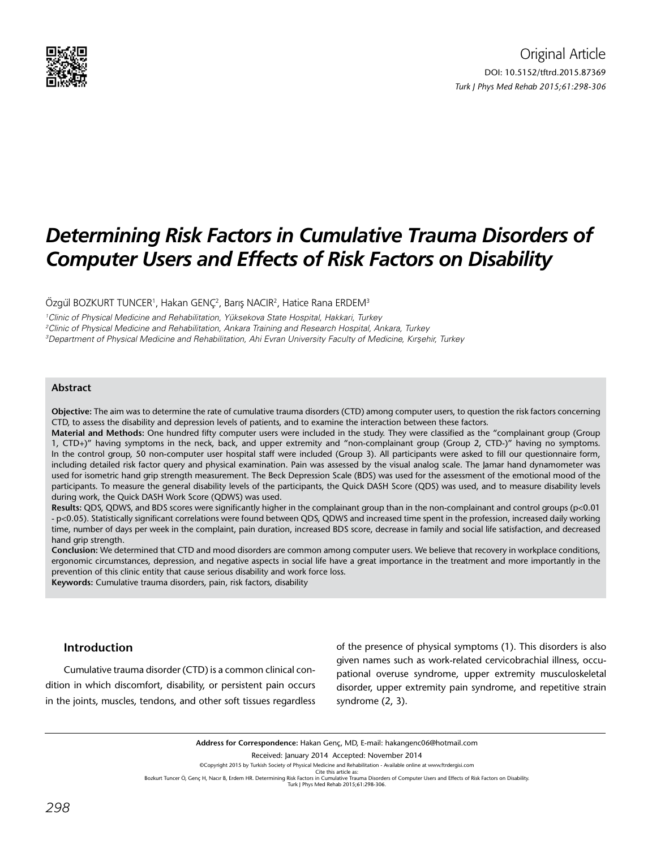

# *Determining Risk Factors in Cumulative Trauma Disorders of Computer Users and Effects of Risk Factors on Disability*

Özgül BOZKURT TUNCER<sup>1</sup>, Hakan GENÇ<sup>2</sup>, Barış NACIR<sup>2</sup>, Hatice Rana ERDEM<sup>3</sup>

1 Clinic of Physical Medicine and Rehabilitation, Yüksekova State Hospital, Hakkari, Turkey 2 Clinic of Physical Medicine and Rehabilitation, Ankara Training and Research Hospital, Ankara, Turkey 3 Department of Physical Medicine and Rehabilitation, Ahi Evran University Faculty of Medicine, Kırşehir, Turkey

## **Abstract**

**Objective:** The aim was to determine the rate of cumulative trauma disorders (CTD) among computer users, to question the risk factors concerning CTD, to assess the disability and depression levels of patients, and to examine the interaction between these factors.

**Material and Methods:** One hundred fifty computer users were included in the study. They were classified as the "complainant group (Group 1, CTD+)" having symptoms in the neck, back, and upper extremity and "non-complainant group (Group 2, CTD-)" having no symptoms. In the control group, 50 non-computer user hospital staff were included (Group 3). All participants were asked to fill our questionnaire form, including detailed risk factor query and physical examination. Pain was assessed by the visual analog scale. The Jamar hand dynamometer was used for isometric hand grip strength measurement. The Beck Depression Scale (BDS) was used for the assessment of the emotional mood of the participants. To measure the general disability levels of the participants, the Quick DASH Score (QDS) was used, and to measure disability levels during work, the Quick DASH Work Score (QDWS) was used.

**Results:** QDS, QDWS, and BDS scores were significantly higher in the complainant group than in the non-complainant and control groups (p<0.01 - p<0.05). Statistically significant correlations were found between QDS, QDWS and increased time spent in the profession, increased daily working time, number of days per week in the complaint, pain duration, increased BDS score, decrease in family and social life satisfaction, and decreased hand grip strength.

**Conclusion:** We determined that CTD and mood disorders are common among computer users. We believe that recovery in workplace conditions, ergonomic circumstances, depression, and negative aspects in social life have a great importance in the treatment and more importantly in the prevention of this clinic entity that cause serious disability and work force loss.

**Keywords:** Cumulative trauma disorders, pain, risk factors, disability

# **Introduction**

Cumulative trauma disorder (CTD) is a common clinical condition in which discomfort, disability, or persistent pain occurs in the joints, muscles, tendons, and other soft tissues regardless

of the presence of physical symptoms (1). This disorders is also given names such as work-related cervicobrachial illness, occupational overuse syndrome, upper extremity musculoskeletal disorder, upper extremity pain syndrome, and repetitive strain syndrome (2, 3).

**Address for Correspondence:** Hakan Genç, MD, E-mail: hakangenc06@hotmail.com

Received: January 2014 Accepted: November 2014

©Copyright 2015 by Turkish Society of Physical Medicine and Rehabilitation - Available online at www.ftrdergisi.com

Cite this article as:<br>Bozkurt Tuncer Ö, Genç H, Nacır B, Erdem HR. Determining Risk Factors in Cumulative Trauma Disorders of Computer Users and Effects of Risk Factors on Disability.<br>Turk J Phys Med Rehab 2015;61:298-306.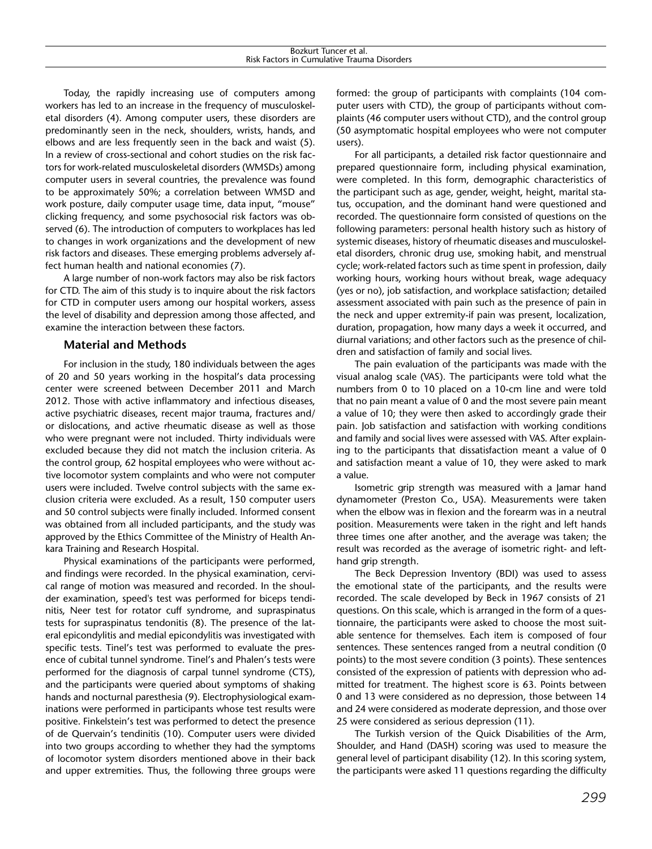| Bozkurt Tuncer et al.                       |
|---------------------------------------------|
| Risk Factors in Cumulative Trauma Disorders |

Today, the rapidly increasing use of computers among workers has led to an increase in the frequency of musculoskeletal disorders (4). Among computer users, these disorders are predominantly seen in the neck, shoulders, wrists, hands, and elbows and are less frequently seen in the back and waist (5). In a review of cross-sectional and cohort studies on the risk factors for work-related musculoskeletal disorders (WMSDs) among computer users in several countries, the prevalence was found to be approximately 50%; a correlation between WMSD and work posture, daily computer usage time, data input, "mouse" clicking frequency, and some psychosocial risk factors was observed (6). The introduction of computers to workplaces has led to changes in work organizations and the development of new risk factors and diseases. These emerging problems adversely affect human health and national economies (7).

A large number of non-work factors may also be risk factors for CTD. The aim of this study is to inquire about the risk factors for CTD in computer users among our hospital workers, assess the level of disability and depression among those affected, and examine the interaction between these factors.

## **Material and Methods**

For inclusion in the study, 180 individuals between the ages of 20 and 50 years working in the hospital's data processing center were screened between December 2011 and March 2012. Those with active inflammatory and infectious diseases, active psychiatric diseases, recent major trauma, fractures and/ or dislocations, and active rheumatic disease as well as those who were pregnant were not included. Thirty individuals were excluded because they did not match the inclusion criteria. As the control group, 62 hospital employees who were without active locomotor system complaints and who were not computer users were included. Twelve control subjects with the same exclusion criteria were excluded. As a result, 150 computer users and 50 control subjects were finally included. Informed consent was obtained from all included participants, and the study was approved by the Ethics Committee of the Ministry of Health Ankara Training and Research Hospital.

Physical examinations of the participants were performed, and findings were recorded. In the physical examination, cervical range of motion was measured and recorded. In the shoulder examination, speed's test was performed for biceps tendinitis, Neer test for rotator cuff syndrome, and supraspinatus tests for supraspinatus tendonitis (8). The presence of the lateral epicondylitis and medial epicondylitis was investigated with specific tests. Tinel's test was performed to evaluate the presence of cubital tunnel syndrome. Tinel's and Phalen's tests were performed for the diagnosis of carpal tunnel syndrome (CTS), and the participants were queried about symptoms of shaking hands and nocturnal paresthesia (9). Electrophysiological examinations were performed in participants whose test results were positive. Finkelstein's test was performed to detect the presence of de Quervain's tendinitis (10). Computer users were divided into two groups according to whether they had the symptoms of locomotor system disorders mentioned above in their back and upper extremities. Thus, the following three groups were

formed: the group of participants with complaints (104 computer users with CTD), the group of participants without complaints (46 computer users without CTD), and the control group (50 asymptomatic hospital employees who were not computer users).

For all participants, a detailed risk factor questionnaire and prepared questionnaire form, including physical examination, were completed. In this form, demographic characteristics of the participant such as age, gender, weight, height, marital status, occupation, and the dominant hand were questioned and recorded. The questionnaire form consisted of questions on the following parameters: personal health history such as history of systemic diseases, history of rheumatic diseases and musculoskeletal disorders, chronic drug use, smoking habit, and menstrual cycle; work-related factors such as time spent in profession, daily working hours, working hours without break, wage adequacy (yes or no), job satisfaction, and workplace satisfaction; detailed assessment associated with pain such as the presence of pain in the neck and upper extremity-if pain was present, localization, duration, propagation, how many days a week it occurred, and diurnal variations; and other factors such as the presence of children and satisfaction of family and social lives.

The pain evaluation of the participants was made with the visual analog scale (VAS). The participants were told what the numbers from 0 to 10 placed on a 10-cm line and were told that no pain meant a value of 0 and the most severe pain meant a value of 10; they were then asked to accordingly grade their pain. Job satisfaction and satisfaction with working conditions and family and social lives were assessed with VAS. After explaining to the participants that dissatisfaction meant a value of 0 and satisfaction meant a value of 10, they were asked to mark a value.

Isometric grip strength was measured with a Jamar hand dynamometer (Preston Co., USA). Measurements were taken when the elbow was in flexion and the forearm was in a neutral position. Measurements were taken in the right and left hands three times one after another, and the average was taken; the result was recorded as the average of isometric right- and lefthand grip strength.

The Beck Depression Inventory (BDI) was used to assess the emotional state of the participants, and the results were recorded. The scale developed by Beck in 1967 consists of 21 questions. On this scale, which is arranged in the form of a questionnaire, the participants were asked to choose the most suitable sentence for themselves. Each item is composed of four sentences. These sentences ranged from a neutral condition (0 points) to the most severe condition (3 points). These sentences consisted of the expression of patients with depression who admitted for treatment. The highest score is 63. Points between 0 and 13 were considered as no depression, those between 14 and 24 were considered as moderate depression, and those over 25 were considered as serious depression (11).

The Turkish version of the Quick Disabilities of the Arm, Shoulder, and Hand (DASH) scoring was used to measure the general level of participant disability (12). In this scoring system, the participants were asked 11 questions regarding the difficulty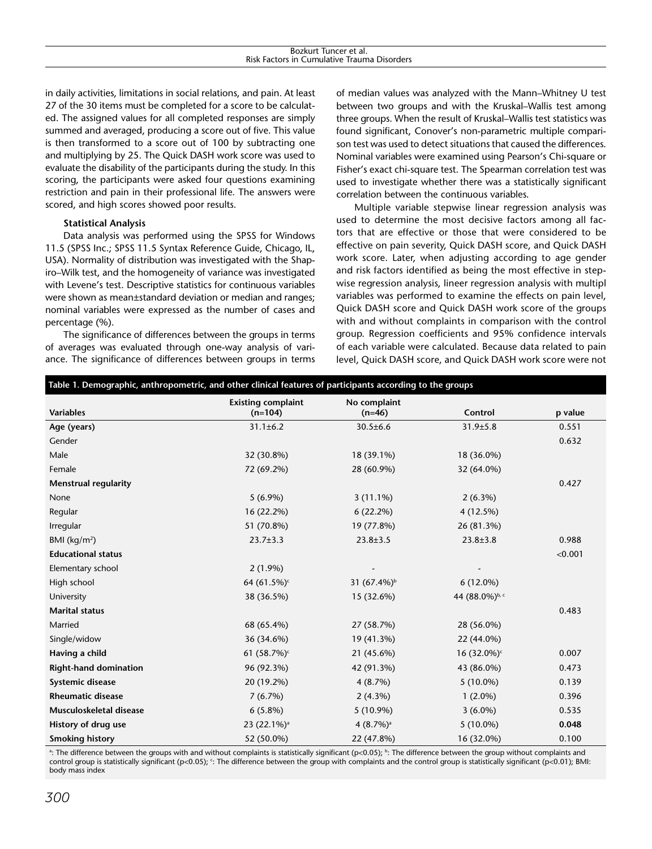in daily activities, limitations in social relations, and pain. At least 27 of the 30 items must be completed for a score to be calculated. The assigned values for all completed responses are simply summed and averaged, producing a score out of five. This value is then transformed to a score out of 100 by subtracting one and multiplying by 25. The Quick DASH work score was used to evaluate the disability of the participants during the study. In this scoring, the participants were asked four questions examining restriction and pain in their professional life. The answers were scored, and high scores showed poor results.

## **Statistical Analysis**

Data analysis was performed using the SPSS for Windows 11.5 (SPSS Inc.; SPSS 11.5 Syntax Reference Guide, Chicago, IL, USA). Normality of distribution was investigated with the Shapiro–Wilk test, and the homogeneity of variance was investigated with Levene's test. Descriptive statistics for continuous variables were shown as mean±standard deviation or median and ranges; nominal variables were expressed as the number of cases and percentage (%).

The significance of differences between the groups in terms of averages was evaluated through one-way analysis of variance. The significance of differences between groups in terms of median values was analyzed with the Mann–Whitney U test between two groups and with the Kruskal–Wallis test among three groups. When the result of Kruskal–Wallis test statistics was found significant, Conover's non-parametric multiple comparison test was used to detect situations that caused the differences. Nominal variables were examined using Pearson's Chi-square or Fisher's exact chi-square test. The Spearman correlation test was used to investigate whether there was a statistically significant correlation between the continuous variables.

Multiple variable stepwise linear regression analysis was used to determine the most decisive factors among all factors that are effective or those that were considered to be effective on pain severity, Quick DASH score, and Quick DASH work score. Later, when adjusting according to age gender and risk factors identified as being the most effective in stepwise regression analysis, lineer regression analysis with multipl variables was performed to examine the effects on pain level, Quick DASH score and Quick DASH work score of the groups with and without complaints in comparison with the control group. Regression coefficients and 95% confidence intervals of each variable were calculated. Because data related to pain level, Quick DASH score, and Quick DASH work score were not

| Table 1. Demographic, anthropometric, and other clinical features of participants according to the groups |                                        |                          |                         |         |  |  |
|-----------------------------------------------------------------------------------------------------------|----------------------------------------|--------------------------|-------------------------|---------|--|--|
| <b>Variables</b>                                                                                          | <b>Existing complaint</b><br>$(n=104)$ | No complaint<br>$(n=46)$ | Control                 | p value |  |  |
| Age (years)                                                                                               | $31.1 \pm 6.2$                         | $30.5 \pm 6.6$           | $31.9 \pm 5.8$          | 0.551   |  |  |
| Gender                                                                                                    |                                        |                          |                         | 0.632   |  |  |
| Male                                                                                                      | 32 (30.8%)                             | 18 (39.1%)               | 18 (36.0%)              |         |  |  |
| Female                                                                                                    | 72 (69.2%)                             | 28 (60.9%)               | 32 (64.0%)              |         |  |  |
| <b>Menstrual regularity</b>                                                                               |                                        |                          |                         | 0.427   |  |  |
| None                                                                                                      | $5(6.9\%)$                             | $3(11.1\%)$              | $2(6.3\%)$              |         |  |  |
| Regular                                                                                                   | 16 (22.2%)                             | $6(22.2\%)$              | 4 (12.5%)               |         |  |  |
| Irregular                                                                                                 | 51 (70.8%)                             | 19 (77.8%)               | 26 (81.3%)              |         |  |  |
| BMI ( $\text{kg/m}^2$ )                                                                                   | $23.7 \pm 3.3$                         | $23.8 \pm 3.5$           | $23.8 \pm 3.8$          | 0.988   |  |  |
| <b>Educational status</b>                                                                                 |                                        |                          |                         | < 0.001 |  |  |
| Elementary school                                                                                         | $2(1.9\%)$                             |                          |                         |         |  |  |
| High school                                                                                               | 64 (61.5%) <sup>c</sup>                | 31 (67.4%) <sup>b</sup>  | $6(12.0\%)$             |         |  |  |
| University                                                                                                | 38 (36.5%)                             | 15 (32.6%)               | 44 (88.0%)b, c          |         |  |  |
| <b>Marital status</b>                                                                                     |                                        |                          |                         | 0.483   |  |  |
| Married                                                                                                   | 68 (65.4%)                             | 27 (58.7%)               | 28 (56.0%)              |         |  |  |
| Single/widow                                                                                              | 36 (34.6%)                             | 19 (41.3%)               | 22 (44.0%)              |         |  |  |
| Having a child                                                                                            | 61 $(58.7\%)$ <sup>c</sup>             | 21 (45.6%)               | 16 (32.0%) <sup>c</sup> | 0.007   |  |  |
| Right-hand domination                                                                                     | 96 (92.3%)                             | 42 (91.3%)               | 43 (86.0%)              | 0.473   |  |  |
| <b>Systemic disease</b>                                                                                   | 20 (19.2%)                             | 4(8.7%)                  | $5(10.0\%)$             | 0.139   |  |  |
| <b>Rheumatic disease</b>                                                                                  | 7(6.7%)                                | $2(4.3\%)$               | $1(2.0\%)$              | 0.396   |  |  |
| Musculoskeletal disease                                                                                   | $6(5.8\%)$                             | $5(10.9\%)$              | $3(6.0\%)$              | 0.535   |  |  |
| History of drug use                                                                                       | 23 (22.1%) <sup>a</sup>                | 4 $(8.7\%)$ <sup>a</sup> | $5(10.0\%)$             | 0.048   |  |  |
| <b>Smoking history</b>                                                                                    | 52 (50.0%)                             | 22 (47.8%)               | 16 (32.0%)              | 0.100   |  |  |

the difference between the groups with and without complaints is statistically significant (p<0.05); b: The difference between the group without complaints and  $\cdot$ control group is statistically significant (p<0.05); <sup>c</sup>: The difference between the group with complaints and the control group is statistically significant (p<0.01); BMI: body mass index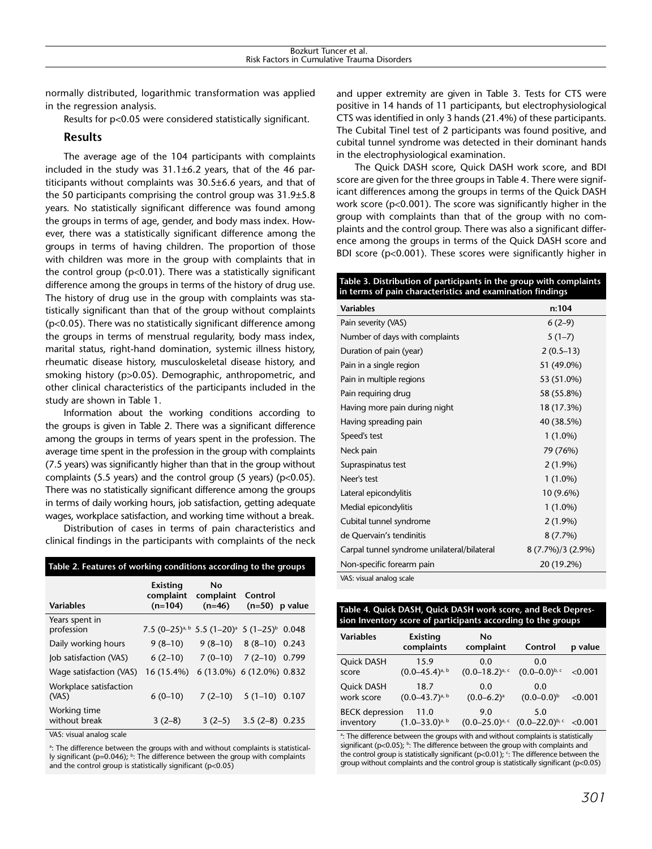normally distributed, logarithmic transformation was applied in the regression analysis.

Results for p<0.05 were considered statistically significant.

## **Results**

The average age of the 104 participants with complaints included in the study was  $31.1\pm6.2$  years, that of the 46 partiticipants without complaints was 30.5±6.6 years, and that of the 50 participants comprising the control group was 31.9±5.8 years. No statistically significant difference was found among the groups in terms of age, gender, and body mass index. However, there was a statistically significant difference among the groups in terms of having children. The proportion of those with children was more in the group with complaints that in the control group (p<0.01). There was a statistically significant difference among the groups in terms of the history of drug use. The history of drug use in the group with complaints was statistically significant than that of the group without complaints (p<0.05). There was no statistically significant difference among the groups in terms of menstrual regularity, body mass index, marital status, right-hand domination, systemic illness history, rheumatic disease history, musculoskeletal disease history, and smoking history (p>0.05). Demographic, anthropometric, and other clinical characteristics of the participants included in the study are shown in Table 1.

Information about the working conditions according to the groups is given in Table 2. There was a significant difference among the groups in terms of years spent in the profession. The average time spent in the profession in the group with complaints (7.5 years) was significantly higher than that in the group without complaints (5.5 years) and the control group (5 years) ( $p<0.05$ ). There was no statistically significant difference among the groups in terms of daily working hours, job satisfaction, getting adequate wages, workplace satisfaction, and working time without a break.

Distribution of cases in terms of pain characteristics and clinical findings in the participants with complaints of the neck

| Table 2. Features of working conditions according to the groups |                                           |                             |                                                       |  |  |  |
|-----------------------------------------------------------------|-------------------------------------------|-----------------------------|-------------------------------------------------------|--|--|--|
| <b>Variables</b>                                                | <b>Existing</b><br>complaint<br>$(n=104)$ | No<br>complaint<br>$(n=46)$ | Control<br>$(n=50)$ p value                           |  |  |  |
| Years spent in<br>profession                                    |                                           |                             | 7.5 $(0-25)^{a, b}$ 5.5 $(1-20)^a$ 5 $(1-25)^b$ 0.048 |  |  |  |
| Daily working hours                                             | $9(8-10)$                                 |                             | $9(8-10)$ $8(8-10)$ 0.243                             |  |  |  |
| (VAS) lob satisfaction (VAS)                                    | $6(2-10)$                                 |                             | $7(0-10)$ $7(2-10)$ 0.799                             |  |  |  |
| Wage satisfaction (VAS)                                         | $16(15.4\%)$                              |                             | 6 (13.0%) 6 (12.0%) 0.832                             |  |  |  |
| Workplace satisfaction<br>(VAS)                                 | $6(0-10)$                                 |                             | $7(2-10)$ $5(1-10)$ 0.107                             |  |  |  |
| Working time<br>without break                                   | $3(2-8)$                                  | $3(2-5)$                    | $3.5(2-8)$<br>0.235                                   |  |  |  |

VAS: visual analog scale

<sup>a</sup>: The difference between the groups with and without complaints is statistically significant ( $p=0.046$ ); <sup>b</sup>: The difference between the group with complaints and the control group is statistically significant (p<0.05)

and upper extremity are given in Table 3. Tests for CTS were positive in 14 hands of 11 participants, but electrophysiological CTS was identified in only 3 hands (21.4%) of these participants. The Cubital Tinel test of 2 participants was found positive, and cubital tunnel syndrome was detected in their dominant hands in the electrophysiological examination.

The Quick DASH score, Quick DASH work score, and BDI score are given for the three groups in Table 4. There were significant differences among the groups in terms of the Quick DASH work score (p<0.001). The score was significantly higher in the group with complaints than that of the group with no complaints and the control group. There was also a significant difference among the groups in terms of the Quick DASH score and BDI score (p<0.001). These scores were significantly higher in

## **Table 3. Distribution of participants in the group with complaints in terms of pain characteristics and examination findings**

| <b>Variables</b>                            | n:104             |
|---------------------------------------------|-------------------|
| Pain severity (VAS)                         | $6(2-9)$          |
| Number of days with complaints              | $5(1-7)$          |
| Duration of pain (year)                     | $2(0.5-13)$       |
| Pain in a single region                     | 51 (49.0%)        |
| Pain in multiple regions                    | 53 (51.0%)        |
| Pain requiring drug                         | 58 (55.8%)        |
| Having more pain during night               | 18 (17.3%)        |
| Having spreading pain                       | 40 (38.5%)        |
| Speed's test                                | $1(1.0\%)$        |
| Neck pain                                   | 79 (76%)          |
| Supraspinatus test                          | $2(1.9\%)$        |
| Neer's test                                 | $1(1.0\%)$        |
| Lateral epicondylitis                       | 10 (9.6%)         |
| Medial epicondylitis                        | $1(1.0\%)$        |
| Cubital tunnel syndrome                     | $2(1.9\%)$        |
| de Quervain's tendinitis                    | $8(7.7\%)$        |
| Carpal tunnel syndrome unilateral/bilateral | 8 (7.7%)/3 (2.9%) |
| Non-specific forearm pain                   | 20 (19.2%)        |
| VAS: visual analog scale                    |                   |

### **Table 4. Quick DASH, Quick DASH work score, and Beck Depression Inventory score of participants according to the groups**

| <b>Variables</b>       | <b>Existing</b><br>complaints  | <b>No</b><br>complaint         | Control             | p value |
|------------------------|--------------------------------|--------------------------------|---------------------|---------|
| Quick DASH             | 15.9                           | 0.0                            | 0.0                 | < 0.001 |
| score                  | $(0.0 - 45.4)$ <sup>a, b</sup> | $(0.0 - 18.2)$ <sup>a, c</sup> | $(0.0-0.0)^{b, c}$  |         |
| Quick DASH             | 18.7                           | 0.0                            | 0.0                 | < 0.001 |
| work score             | $(0.0 - 43.7)$ <sup>a, b</sup> | $(0.0 - 6.2)$ <sup>a</sup>     | $(0.0 - 0.0)^{b}$   |         |
| <b>BECK</b> depression | 11.0                           | 9.0                            | 5.0                 | < 0.001 |
| inventory              | $(1.0-33.0)^{a, b}$            | $(0.0 - 25.0)^{a, c}$          | $(0.0-22.0)^{b, c}$ |         |

<sup>a</sup>: The difference between the groups with and without complaints is statistically significant (p<0.05); <sup>b</sup>: The difference between the group with complaints and the control group is statistically significant ( $p<0.01$ );  $\cdot$ : The difference between the group without complaints and the control group is statistically significant (p<0.05)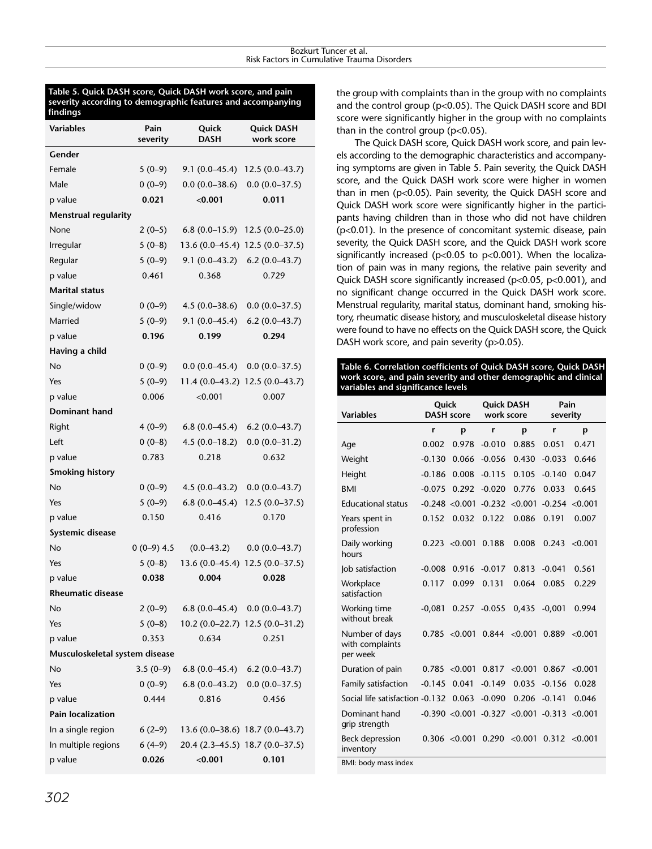#### **Table 5. Quick DASH score, Quick DASH work score, and pain severity according to demographic features and accompanying findings**

| <b>Variables</b>               | Pain<br>severity | Quick<br>DASH    | <b>Quick DASH</b><br>work score   |  |
|--------------------------------|------------------|------------------|-----------------------------------|--|
| Gender                         |                  |                  |                                   |  |
| Female                         | $5(0-9)$         | $9.1(0.0-45.4)$  | $12.5(0.0-43.7)$                  |  |
| Male                           | $0(0-9)$         | $0.0(0.0-38.6)$  | $0.0(0.0-37.5)$                   |  |
| p value                        | 0.021            | < 0.001          | 0.011                             |  |
| <b>Menstrual regularity</b>    |                  |                  |                                   |  |
| None                           | $2(0-5)$         | $6.8(0.0-15.9)$  | $12.5(0.0-25.0)$                  |  |
| Irregular                      | $5(0-8)$         | $13.6(0.0-45.4)$ | $12.5(0.0-37.5)$                  |  |
| Regular                        | $5(0-9)$         | $9.1(0.0-43.2)$  | $6.2(0.0-43.7)$                   |  |
| p value                        | 0.461            | 0.368            | 0.729                             |  |
| <b>Marital status</b>          |                  |                  |                                   |  |
| Single/widow                   | $0(0-9)$         | $4.5(0.0-38.6)$  | $0.0(0.0-37.5)$                   |  |
| Married                        | $5(0-9)$         | $9.1(0.0-45.4)$  | $6.2(0.0-43.7)$                   |  |
| p value                        | 0.196            | 0.199            | 0.294                             |  |
| Having a child                 |                  |                  |                                   |  |
| No                             | $0(0-9)$         | $0.0(0.0-45.4)$  | $0.0(0.0-37.5)$                   |  |
| Yes                            | $5(0-9)$         |                  | 11.4 (0.0-43.2) 12.5 (0.0-43.7)   |  |
| p value                        | 0.006            | < 0.001          | 0.007                             |  |
| Dominant hand                  |                  |                  |                                   |  |
| Right                          | $4(0-9)$         | $6.8(0.0-45.4)$  | $6.2(0.0-43.7)$                   |  |
| Left                           | $0(0-8)$         | $4.5(0.0-18.2)$  | $0.0(0.0-31.2)$                   |  |
| p value                        | 0.783            | 0.218            | 0.632                             |  |
| <b>Smoking history</b>         |                  |                  |                                   |  |
| No                             | $0(0-9)$         | $4.5(0.0-43.2)$  | $0.0(0.0-43.7)$                   |  |
| Yes                            | $5(0-9)$         | $6.8(0.0-45.4)$  | $12.5(0.0-37.5)$                  |  |
| p value                        | 0.150            | 0.416            | 0.170                             |  |
| Systemic disease               |                  |                  |                                   |  |
| No                             | $0(0-9)4.5$      | $(0.0 - 43.2)$   | $0.0(0.0-43.7)$                   |  |
| Yes                            | $5(0-8)$         | $13.6(0.0-45.4)$ | $12.5(0.0-37.5)$                  |  |
| p value                        | 0.038            | 0.004            | 0.028                             |  |
| Rheumatic disease              |                  |                  |                                   |  |
| No                             | $2(0-9)$         |                  | 6.8 $(0.0-45.4)$ 0.0 $(0.0-43.7)$ |  |
| Yes                            | $5(0-8)$         |                  | 10.2 (0.0-22.7) 12.5 (0.0-31.2)   |  |
| p value                        | 0.353            | 0.634            | 0.251                             |  |
| Musculoskeletal system disease |                  |                  |                                   |  |
| No                             | $3.5(0-9)$       | $6.8(0.0-45.4)$  | $6.2(0.0-43.7)$                   |  |
| Yes                            | $0(0-9)$         | $6.8(0.0-43.2)$  | $0.0(0.0-37.5)$                   |  |
| p value                        | 0.444            | 0.816            | 0.456                             |  |
| <b>Pain localization</b>       |                  |                  |                                   |  |
| In a single region             | $6(2-9)$         |                  | 13.6 (0.0-38.6) 18.7 (0.0-43.7)   |  |
| In multiple regions            | $6(4-9)$         |                  | 20.4 (2.3-45.5) 18.7 (0.0-37.5)   |  |
| p value                        | 0.026            | $<$ 0.001        | 0.101                             |  |

the group with complaints than in the group with no complaints and the control group (p<0.05). The Quick DASH score and BDI score were significantly higher in the group with no complaints than in the control group ( $p<0.05$ ).

The Quick DASH score, Quick DASH work score, and pain levels according to the demographic characteristics and accompanying symptoms are given in Table 5. Pain severity, the Quick DASH score, and the Quick DASH work score were higher in women than in men (p<0.05). Pain severity, the Quick DASH score and Quick DASH work score were significantly higher in the participants having children than in those who did not have children (p<0.01). In the presence of concomitant systemic disease, pain severity, the Quick DASH score, and the Quick DASH work score significantly increased (p<0.05 to p<0.001). When the localization of pain was in many regions, the relative pain severity and Quick DASH score significantly increased (p<0.05, p<0.001), and no significant change occurred in the Quick DASH work score. Menstrual regularity, marital status, dominant hand, smoking history, rheumatic disease history, and musculoskeletal disease history were found to have no effects on the Quick DASH score, the Quick DASH work score, and pain severity (p>0.05).

**Table 6. Correlation coefficients of Quick DASH score, Quick DASH work score, and pain severity and other demographic and clinical variables and significance levels** 

| <b>Variables</b>                              | <b>Quick DASH</b><br>Quick<br><b>DASH</b> score<br>work score |                  |          | Pain<br>severity |          |         |
|-----------------------------------------------|---------------------------------------------------------------|------------------|----------|------------------|----------|---------|
|                                               | r                                                             | p                | r        | p                | r        | р       |
| Age                                           | 0.002                                                         | 0.978            | $-0.010$ | 0.885            | 0.051    | 0.471   |
| Weight                                        | $-0.130$                                                      | 0.066            | $-0.056$ | 0.430            | $-0.033$ | 0.646   |
| Height                                        | $-0.186$                                                      | 0.008            | $-0.115$ | 0.105            | $-0.140$ | 0.047   |
| <b>BMI</b>                                    | $-0.075$                                                      | 0.292            | $-0.020$ | 0.776            | 0.033    | 0.645   |
| <b>Educational status</b>                     |                                                               | $-0.248 < 0.001$ | $-0.232$ | < 0.001          | $-0.254$ | < 0.001 |
| Years spent in<br>profession                  | 0.152                                                         | 0.032            | 0.122    | 0.086            | 0.191    | 0.007   |
| Daily working<br>hours                        | 0.223                                                         | < 0.001          | 0.188    | 0.008            | 0.243    | < 0.001 |
| Job satisfaction                              | $-0.008$                                                      | 0.916            | $-0.017$ | 0.813            | $-0.041$ | 0.561   |
| Workplace<br>satisfaction                     | 0.117                                                         | 0.099            | 0.131    | 0.064            | 0.085    | 0.229   |
| Working time<br>without break                 | $-0.081$                                                      | 0.257            | $-0.055$ | 0,435            | $-0,001$ | 0.994   |
| Number of days<br>with complaints<br>per week | 0.785                                                         | < 0.001          | 0.844    | < 0.001          | 0.889    | < 0.001 |
| Duration of pain                              | 0.785                                                         | < 0.001          | 0.817    | < 0.001          | 0.867    | < 0.001 |
| Family satisfaction                           | $-0.145$                                                      | 0.041            | $-0.149$ | 0.035            | $-0.156$ | 0.028   |
| Social life satisfaction -0.132               |                                                               | 0.063            | $-0.090$ | 0.206            | $-0.141$ | 0.046   |
| Dominant hand<br>grip strength                |                                                               | $-0.390 < 0.001$ | $-0.327$ | < 0.001          | $-0.313$ | < 0.001 |
| <b>Beck depression</b><br>inventory           |                                                               | 0.306 < 0.001    | 0.290    | < 0.001          | 0.312    | < 0.001 |
| BMI: body mass index                          |                                                               |                  |          |                  |          |         |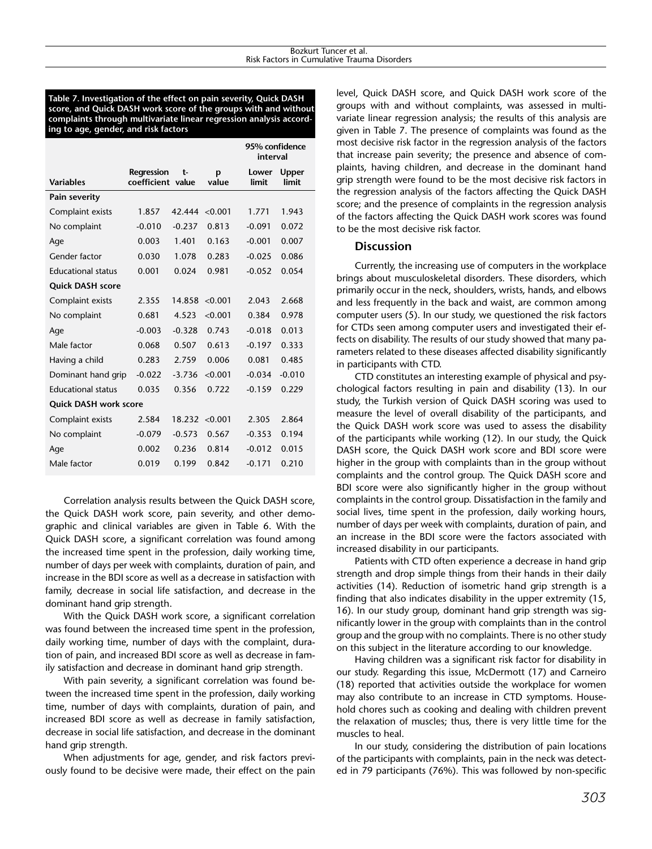**Table 7. Investigation of the effect on pain severity, Quick DASH score, and Quick DASH work score of the groups with and without complaints through multivariate linear regression analysis according to age, gender, and risk factors**

|                           |                                        |          |            | 95% confidence<br>interval |                |  |  |
|---------------------------|----------------------------------------|----------|------------|----------------------------|----------------|--|--|
| <b>Variables</b>          | <b>Regression</b><br>coefficient value | $t-$     | р<br>value | Lower<br>limit             | Upper<br>limit |  |  |
| Pain severity             |                                        |          |            |                            |                |  |  |
| Complaint exists          | 1.857                                  | 42.444   | < 0.001    | 1.771                      | 1.943          |  |  |
| No complaint              | $-0.010$                               | $-0.237$ | 0.813      | $-0.091$                   | 0.072          |  |  |
| Age                       | 0.003                                  | 1.401    | 0.163      | $-0.001$                   | 0.007          |  |  |
| Gender factor             | 0.030                                  | 1.078    | 0.283      | $-0.025$                   | 0.086          |  |  |
| <b>Educational status</b> | 0.001                                  | 0.024    | 0.981      | $-0.052$                   | 0.054          |  |  |
| <b>Quick DASH score</b>   |                                        |          |            |                            |                |  |  |
| Complaint exists          | 2.355                                  | 14.858   | < 0.001    | 2.043                      | 2.668          |  |  |
| No complaint              | 0.681                                  | 4.523    | < 0.001    | 0.384                      | 0.978          |  |  |
| Age                       | $-0.003$                               | $-0.328$ | 0.743      | $-0.018$                   | 0.013          |  |  |
| Male factor               | 0.068                                  | 0.507    | 0.613      | $-0.197$                   | 0.333          |  |  |
| Having a child            | 0.283                                  | 2.759    | 0.006      | 0.081                      | 0.485          |  |  |
| Dominant hand grip        | $-0.022$                               | $-3.736$ | < 0.001    | $-0.034$                   | $-0.010$       |  |  |
| <b>Educational status</b> | 0.035                                  | 0.356    | 0.722      | $-0.159$                   | 0.229          |  |  |
| Quick DASH work score     |                                        |          |            |                            |                |  |  |
| Complaint exists          | 2.584                                  | 18.232   | < 0.001    | 2.305                      | 2.864          |  |  |
| No complaint              | $-0.079$                               | $-0.573$ | 0.567      | $-0.353$                   | 0.194          |  |  |
| Age                       | 0.002                                  | 0.236    | 0.814      | $-0.012$                   | 0.015          |  |  |
| Male factor               | 0.019                                  | 0.199    | 0.842      | $-0.171$                   | 0.210          |  |  |
|                           |                                        |          |            |                            |                |  |  |

Correlation analysis results between the Quick DASH score, the Quick DASH work score, pain severity, and other demographic and clinical variables are given in Table 6. With the Quick DASH score, a significant correlation was found among the increased time spent in the profession, daily working time, number of days per week with complaints, duration of pain, and increase in the BDI score as well as a decrease in satisfaction with family, decrease in social life satisfaction, and decrease in the dominant hand grip strength.

With the Quick DASH work score, a significant correlation was found between the increased time spent in the profession, daily working time, number of days with the complaint, duration of pain, and increased BDI score as well as decrease in family satisfaction and decrease in dominant hand grip strength.

With pain severity, a significant correlation was found between the increased time spent in the profession, daily working time, number of days with complaints, duration of pain, and increased BDI score as well as decrease in family satisfaction, decrease in social life satisfaction, and decrease in the dominant hand grip strength.

When adjustments for age, gender, and risk factors previously found to be decisive were made, their effect on the pain level, Quick DASH score, and Quick DASH work score of the groups with and without complaints, was assessed in multivariate linear regression analysis; the results of this analysis are given in Table 7. The presence of complaints was found as the most decisive risk factor in the regression analysis of the factors that increase pain severity; the presence and absence of complaints, having children, and decrease in the dominant hand grip strength were found to be the most decisive risk factors in the regression analysis of the factors affecting the Quick DASH score; and the presence of complaints in the regression analysis of the factors affecting the Quick DASH work scores was found to be the most decisive risk factor.

## **Discussion**

Currently, the increasing use of computers in the workplace brings about musculoskeletal disorders. These disorders, which primarily occur in the neck, shoulders, wrists, hands, and elbows and less frequently in the back and waist, are common among computer users (5). In our study, we questioned the risk factors for CTDs seen among computer users and investigated their effects on disability. The results of our study showed that many parameters related to these diseases affected disability significantly in participants with CTD.

CTD constitutes an interesting example of physical and psychological factors resulting in pain and disability (13). In our study, the Turkish version of Quick DASH scoring was used to measure the level of overall disability of the participants, and the Quick DASH work score was used to assess the disability of the participants while working (12). In our study, the Quick DASH score, the Quick DASH work score and BDI score were higher in the group with complaints than in the group without complaints and the control group. The Quick DASH score and BDI score were also significantly higher in the group without complaints in the control group. Dissatisfaction in the family and social lives, time spent in the profession, daily working hours, number of days per week with complaints, duration of pain, and an increase in the BDI score were the factors associated with increased disability in our participants.

Patients with CTD often experience a decrease in hand grip strength and drop simple things from their hands in their daily activities (14). Reduction of isometric hand grip strength is a finding that also indicates disability in the upper extremity (15, 16). In our study group, dominant hand grip strength was significantly lower in the group with complaints than in the control group and the group with no complaints. There is no other study on this subject in the literature according to our knowledge.

Having children was a significant risk factor for disability in our study. Regarding this issue, McDermott (17) and Carneiro (18) reported that activities outside the workplace for women may also contribute to an increase in CTD symptoms. Household chores such as cooking and dealing with children prevent the relaxation of muscles; thus, there is very little time for the muscles to heal.

In our study, considering the distribution of pain locations of the participants with complaints, pain in the neck was detected in 79 participants (76%). This was followed by non-specific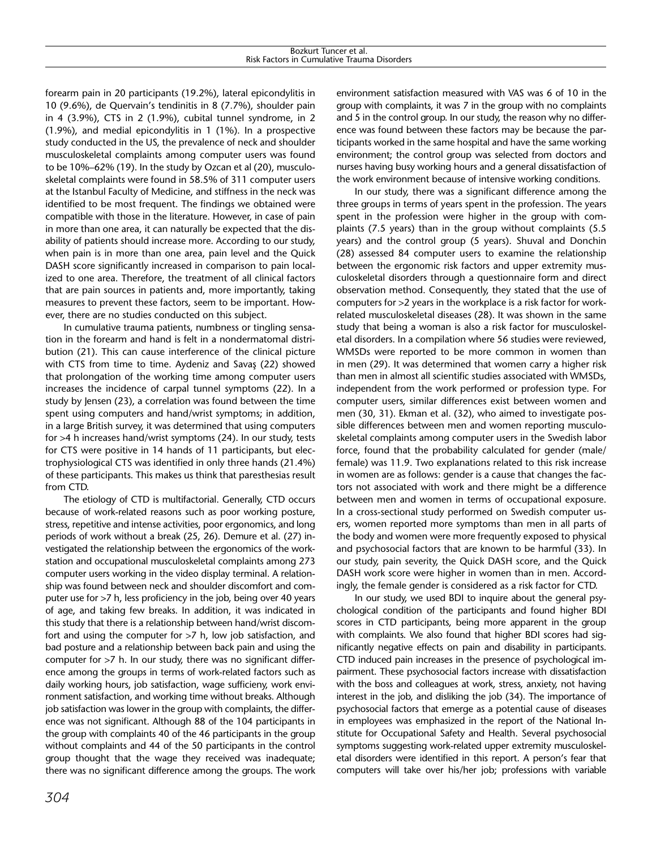forearm pain in 20 participants (19.2%), lateral epicondylitis in 10 (9.6%), de Quervain's tendinitis in 8 (7.7%), shoulder pain in 4 (3.9%), CTS in 2 (1.9%), cubital tunnel syndrome, in 2 (1.9%), and medial epicondylitis in 1 (1%). In a prospective study conducted in the US, the prevalence of neck and shoulder musculoskeletal complaints among computer users was found to be 10%–62% (19). In the study by Ozcan et al (20), musculoskeletal complaints were found in 58.5% of 311 computer users at the Istanbul Faculty of Medicine, and stiffness in the neck was identified to be most frequent. The findings we obtained were compatible with those in the literature. However, in case of pain in more than one area, it can naturally be expected that the disability of patients should increase more. According to our study, when pain is in more than one area, pain level and the Quick DASH score significantly increased in comparison to pain localized to one area. Therefore, the treatment of all clinical factors that are pain sources in patients and, more importantly, taking measures to prevent these factors, seem to be important. However, there are no studies conducted on this subject.

In cumulative trauma patients, numbness or tingling sensation in the forearm and hand is felt in a nondermatomal distribution (21). This can cause interference of the clinical picture with CTS from time to time. Aydeniz and Savaş (22) showed that prolongation of the working time among computer users increases the incidence of carpal tunnel symptoms (22). In a study by Jensen (23), a correlation was found between the time spent using computers and hand/wrist symptoms; in addition, in a large British survey, it was determined that using computers for >4 h increases hand/wrist symptoms (24). In our study, tests for CTS were positive in 14 hands of 11 participants, but electrophysiological CTS was identified in only three hands (21.4%) of these participants. This makes us think that paresthesias result from CTD.

The etiology of CTD is multifactorial. Generally, CTD occurs because of work-related reasons such as poor working posture, stress, repetitive and intense activities, poor ergonomics, and long periods of work without a break (25, 26). Demure et al. (27) investigated the relationship between the ergonomics of the workstation and occupational musculoskeletal complaints among 273 computer users working in the video display terminal. A relationship was found between neck and shoulder discomfort and computer use for >7 h, less proficiency in the job, being over 40 years of age, and taking few breaks. In addition, it was indicated in this study that there is a relationship between hand/wrist discomfort and using the computer for >7 h, low job satisfaction, and bad posture and a relationship between back pain and using the computer for >7 h. In our study, there was no significant difference among the groups in terms of work-related factors such as daily working hours, job satisfaction, wage sufficieny, work environment satisfaction, and working time without breaks. Although job satisfaction was lower in the group with complaints, the difference was not significant. Although 88 of the 104 participants in the group with complaints 40 of the 46 participants in the group without complaints and 44 of the 50 participants in the control group thought that the wage they received was inadequate; there was no significant difference among the groups. The work

environment satisfaction measured with VAS was 6 of 10 in the group with complaints, it was 7 in the group with no complaints and 5 in the control group. In our study, the reason why no difference was found between these factors may be because the participants worked in the same hospital and have the same working environment; the control group was selected from doctors and nurses having busy working hours and a general dissatisfaction of the work environment because of intensive working conditions.

In our study, there was a significant difference among the three groups in terms of years spent in the profession. The years spent in the profession were higher in the group with complaints (7.5 years) than in the group without complaints (5.5 years) and the control group (5 years). Shuval and Donchin (28) assessed 84 computer users to examine the relationship between the ergonomic risk factors and upper extremity musculoskeletal disorders through a questionnaire form and direct observation method. Consequently, they stated that the use of computers for >2 years in the workplace is a risk factor for workrelated musculoskeletal diseases (28). It was shown in the same study that being a woman is also a risk factor for musculoskeletal disorders. In a compilation where 56 studies were reviewed, WMSDs were reported to be more common in women than in men (29). It was determined that women carry a higher risk than men in almost all scientific studies associated with WMSDs, independent from the work performed or profession type. For computer users, similar differences exist between women and men (30, 31). Ekman et al. (32), who aimed to investigate possible differences between men and women reporting musculoskeletal complaints among computer users in the Swedish labor force, found that the probability calculated for gender (male/ female) was 11.9. Two explanations related to this risk increase in women are as follows: gender is a cause that changes the factors not associated with work and there might be a difference between men and women in terms of occupational exposure. In a cross-sectional study performed on Swedish computer users, women reported more symptoms than men in all parts of the body and women were more frequently exposed to physical and psychosocial factors that are known to be harmful (33). In our study, pain severity, the Quick DASH score, and the Quick DASH work score were higher in women than in men. Accordingly, the female gender is considered as a risk factor for CTD.

In our study, we used BDI to inquire about the general psychological condition of the participants and found higher BDI scores in CTD participants, being more apparent in the group with complaints. We also found that higher BDI scores had significantly negative effects on pain and disability in participants. CTD induced pain increases in the presence of psychological impairment. These psychosocial factors increase with dissatisfaction with the boss and colleagues at work, stress, anxiety, not having interest in the job, and disliking the job (34). The importance of psychosocial factors that emerge as a potential cause of diseases in employees was emphasized in the report of the National Institute for Occupational Safety and Health. Several psychosocial symptoms suggesting work-related upper extremity musculoskeletal disorders were identified in this report. A person's fear that computers will take over his/her job; professions with variable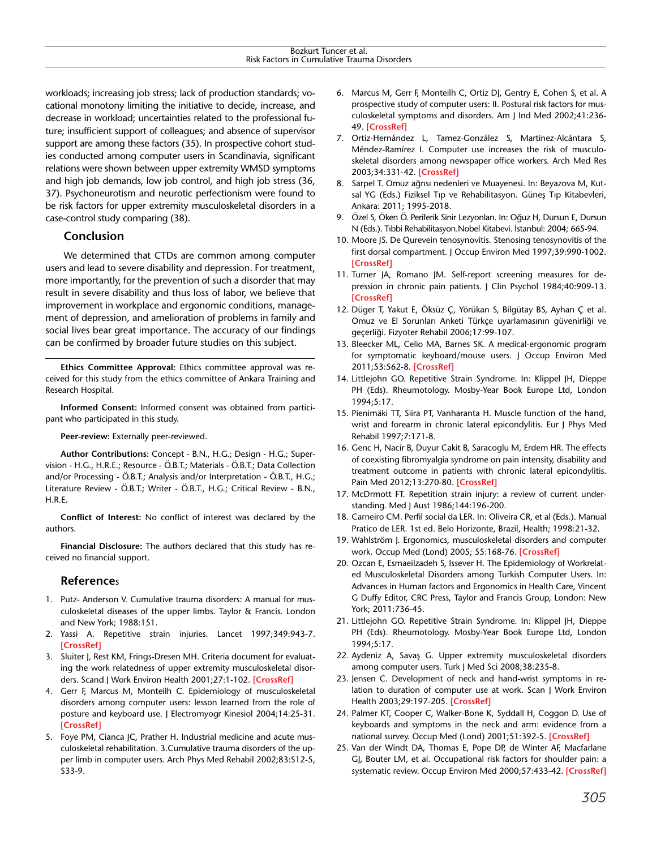workloads; increasing job stress; lack of production standards; vocational monotony limiting the initiative to decide, increase, and decrease in workload; uncertainties related to the professional future; insufficient support of colleagues; and absence of supervisor support are among these factors (35). In prospective cohort studies conducted among computer users in Scandinavia, significant relations were shown between upper extremity WMSD symptoms and high job demands, low job control, and high job stress (36, 37). Psychoneurotism and neurotic perfectionism were found to be risk factors for upper extremity musculoskeletal disorders in a case-control study comparing (38).

## **Conclusion**

We determined that CTDs are common among computer users and lead to severe disability and depression. For treatment, more importantly, for the prevention of such a disorder that may result in severe disability and thus loss of labor, we believe that improvement in workplace and ergonomic conditions, management of depression, and amelioration of problems in family and social lives bear great importance. The accuracy of our findings can be confirmed by broader future studies on this subject.

**Ethics Committee Approval:** Ethics committee approval was received for this study from the ethics committee of Ankara Training and Research Hospital.

**Informed Consent:** Informed consent was obtained from participant who participated in this study.

**Peer-review:** Externally peer-reviewed.

**Author Contributions:** Concept - B.N., H.G.; Design - H.G.; Supervision - H.G., H.R.E.; Resource - Ö.B.T.; Materials - Ö.B.T.; Data Collection and/or Processing - Ö.B.T.; Analysis and/or Interpretation - Ö.B.T., H.G.; Literature Review - Ö.B.T.; Writer - Ö.B.T., H.G.; Critical Review - B.N., H.R.E.

**Conflict of Interest:** No conflict of interest was declared by the authors.

**Financial Disclosure:** The authors declared that this study has received no financial support.

## **Reference**s

- 1. Putz- Anderson V. Cumulative trauma disorders: A manual for musculoskeletal diseases of the upper limbs. Taylor & Francis. London and New York; 1988:151.
- 2. Yassi A. Repetitive strain injuries. Lancet 1997;349:943-7. **[[CrossRef\]](http://dx.doi.org/10.1016/S0140-6736(05)62675-X)**
- 3. Sluiter J, Rest KM, Frings-Dresen MH. Criteria document for evaluating the work relatedness of upper extremity musculoskeletal disorders. Scand J Work Environ Health 2001;27:1-102. **[\[CrossRef\]](http://dx.doi.org/10.5271/sjweh.637)**
- 4. Gerr F, Marcus M, Monteilh C. Epidemiology of musculoskeletal disorders among computer users: lesson learned from the role of posture and keyboard use. J Electromyogr Kinesiol 2004;14:25-31. **[[CrossRef\]](http://dx.doi.org/10.1016/j.jelekin.2003.09.014)**
- 5. Foye PM, Cianca JC, Prather H. Industrial medicine and acute musculoskeletal rehabilitation. 3.Cumulative trauma disorders of the upper limb in computer users. Arch Phys Med Rehabil 2002;83:S12-5, S33-9.
- 6. Marcus M, Gerr F, Monteilh C, Ortiz DJ, Gentry E, Cohen S, et al. A prospective study of computer users: II. Postural risk factors for musculoskeletal symptoms and disorders. Am J Ind Med 2002;41:236- 49. **[\[CrossRef\]](http://dx.doi.org/10.1002/ajim.10067)**
- 7. Ortiz-Hernández L, Tamez-González S, Martinez-Alcántara S, Méndez-Ramírez I. Computer use increases the risk of musculoskeletal disorders among newspaper office workers. Arch Med Res 2003;34:331-42. **[[CrossRef](http://dx.doi.org/10.1016/S0188-4409(03)00053-5)]**
- 8. Sarpel T. Omuz ağrısı nedenleri ve Muayenesi. In: Beyazova M, Kutsal YG (Eds.) Fiziksel Tıp ve Rehabilitasyon. Güneş Tıp Kitabevleri, Ankara: 2011; 1995-2018.
- 9. Özel S, Öken Ö. Periferik Sinir Lezyonları. In: Oğuz H, Dursun E, Dursun N (Eds.). Tıbbi Rehabilitasyon.Nobel Kitabevi. İstanbul: 2004; 665-94.
- 10. Moore JS. De Qurevein tenosynovitis. Stenosing tenosynovitis of the first dorsal compartment. J Occup Environ Med 1997;39:990-1002. **[[CrossRef\]](http://dx.doi.org/10.1097/00043764-199710000-00011)**
- 11. Turner JA, Romano JM. Self-report screening measures for depression in chronic pain patients. | Clin Psychol 1984;40:909-13. **[[CrossRef\]](http://dx.doi.org/10.1002/1097-4679(198407)40:4<909::AID-JCLP2270400407>3.0.CO;2-J)**
- 12. Düger T, Yakut E, Öksüz Ç, Yörükan S, Bilgütay BS, Ayhan Ç et al. Omuz ve El Sorunları Anketi Türkçe uyarlamasının güvenirliği ve geçerliği. Fizyoter Rehabil 2006;17:99-107.
- 13. Bleecker ML, Celio MA, Barnes SK. A medical-ergonomic program for symptomatic keyboard/mouse users. J Occup Environ Med 2011;53:562-8. **[\[CrossRef\]](http://dx.doi.org/10.1097/JOM.0b013e31821719af)**
- 14. Littlejohn GO. Repetitive Strain Syndrome. In: Klippel JH, Dieppe PH (Eds). Rheumotology. Mosby-Year Book Europe Ltd, London 1994;5:17.
- 15. Pienimäki TT, Siira PT, Vanharanta H. Muscle function of the hand, wrist and forearm in chronic lateral epicondylitis. Eur J Phys Med Rehabil 1997;7:171-8.
- 16. Genc H, Nacir B, Duyur Cakit B, Saracoglu M, Erdem HR. The effects of coexisting fibromyalgia syndrome on pain intensity, disability and treatment outcome in patients with chronic lateral epicondylitis. Pain Med 2012;13:270-80. **[[CrossRef](http://dx.doi.org/10.1111/j.1526-4637.2011.01300.x)]**
- 17. McDrmott FT. Repetition strain injury: a review of current understanding. Med J Aust 1986;144:196-200.
- 18. Carneiro CM. Perfil social da LER. In: Oliveira CR, et al (Eds.). Manual Pratico de LER. 1st ed. Belo Horizonte, Brazil, Health; 1998:21-32.
- 19. Wahlström J. Ergonomics, musculoskeletal disorders and computer work. Occup Med (Lond) 2005; 55:168-76. **[\[CrossRef\]](http://dx.doi.org/10.1093/occmed/kqi083)**
- 20. Ozcan E, Esmaeilzadeh S, Issever H. The Epidemiology of Workrelated Musculoskeletal Disorders among Turkish Computer Users. In: Advances in Human factors and Ergonomics in Health Care, Vincent G Duffy Editor, CRC Press, Taylor and Francis Group, London: New York; 2011:736-45.
- 21. Littlejohn GO. Repetitive Strain Syndrome. In: Klippel JH, Dieppe PH (Eds). Rheumotology. Mosby-Year Book Europe Ltd, London 1994;5:17.
- 22. Aydeniz A, Savaş G. Upper extremity musculoskeletal disorders among computer users. Turk J Med Sci 2008;38:235-8.
- 23. Jensen C. Development of neck and hand-wrist symptoms in relation to duration of computer use at work. Scan J Work Environ Health 2003;29:197-205. **[[CrossRef](http://dx.doi.org/10.5271/sjweh.722)]**
- 24. Palmer KT, Cooper C, Walker-Bone K, Syddall H, Coggon D. Use of keyboards and symptoms in the neck and arm: evidence from a national survey. Occup Med (Lond) 2001;51:392-5. **[\[CrossRef](http://dx.doi.org/10.1093/occmed/51.6.392)]**
- 25. Van der Windt DA, Thomas E, Pope DP, de Winter AF, Macfarlane GJ, Bouter LM, et al. Occupational risk factors for shoulder pain: a systematic review. Occup Environ Med 2000;57:433-42. **[[CrossRef](http://dx.doi.org/10.1136/oem.57.7.433)]**